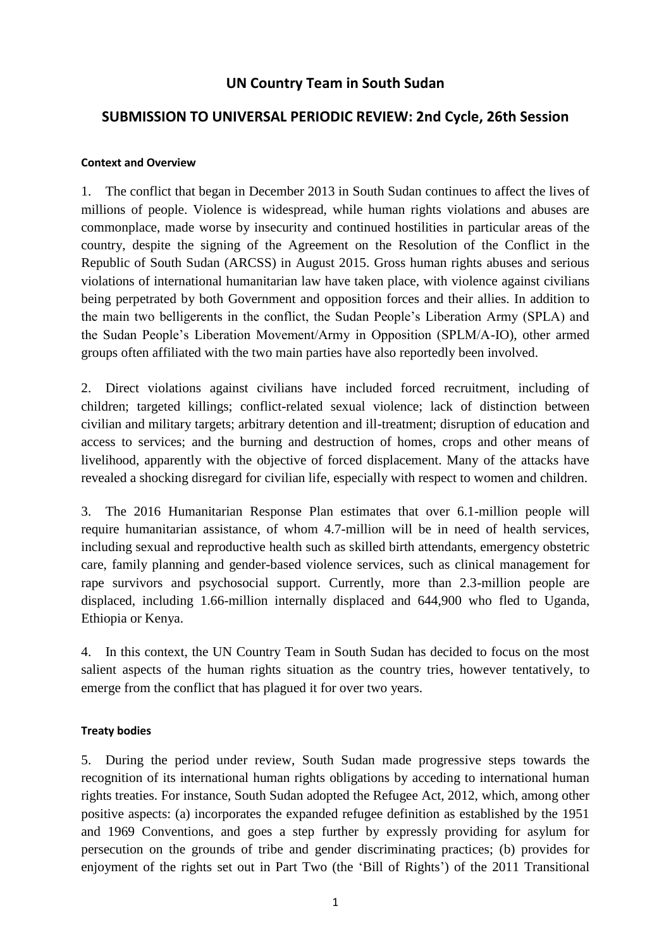# **UN Country Team in South Sudan**

# **SUBMISSION TO UNIVERSAL PERIODIC REVIEW: 2nd Cycle, 26th Session**

### **Context and Overview**

1. The conflict that began in December 2013 in South Sudan continues to affect the lives of millions of people. Violence is widespread, while human rights violations and abuses are commonplace, made worse by insecurity and continued hostilities in particular areas of the country, despite the signing of the Agreement on the Resolution of the Conflict in the Republic of South Sudan (ARCSS) in August 2015. Gross human rights abuses and serious violations of international humanitarian law have taken place, with violence against civilians being perpetrated by both Government and opposition forces and their allies. In addition to the main two belligerents in the conflict, the Sudan People's Liberation Army (SPLA) and the Sudan People's Liberation Movement/Army in Opposition (SPLM/A-IO), other armed groups often affiliated with the two main parties have also reportedly been involved.

2. Direct violations against civilians have included forced recruitment, including of children; targeted killings; conflict-related sexual violence; lack of distinction between civilian and military targets; arbitrary detention and ill-treatment; disruption of education and access to services; and the burning and destruction of homes, crops and other means of livelihood, apparently with the objective of forced displacement. Many of the attacks have revealed a shocking disregard for civilian life, especially with respect to women and children.

3. The 2016 Humanitarian Response Plan estimates that over 6.1-million people will require humanitarian assistance, of whom 4.7-million will be in need of health services, including sexual and reproductive health such as skilled birth attendants, emergency obstetric care, family planning and gender-based violence services, such as clinical management for rape survivors and psychosocial support. Currently, more than 2.3-million people are displaced, including 1.66-million internally displaced and 644,900 who fled to Uganda, Ethiopia or Kenya.

4. In this context, the UN Country Team in South Sudan has decided to focus on the most salient aspects of the human rights situation as the country tries, however tentatively, to emerge from the conflict that has plagued it for over two years.

# **Treaty bodies**

5. During the period under review, South Sudan made progressive steps towards the recognition of its international human rights obligations by acceding to international human rights treaties. For instance, South Sudan adopted the Refugee Act, 2012, which, among other positive aspects: (a) incorporates the expanded refugee definition as established by the 1951 and 1969 Conventions, and goes a step further by expressly providing for asylum for persecution on the grounds of tribe and gender discriminating practices; (b) provides for enjoyment of the rights set out in Part Two (the 'Bill of Rights') of the 2011 Transitional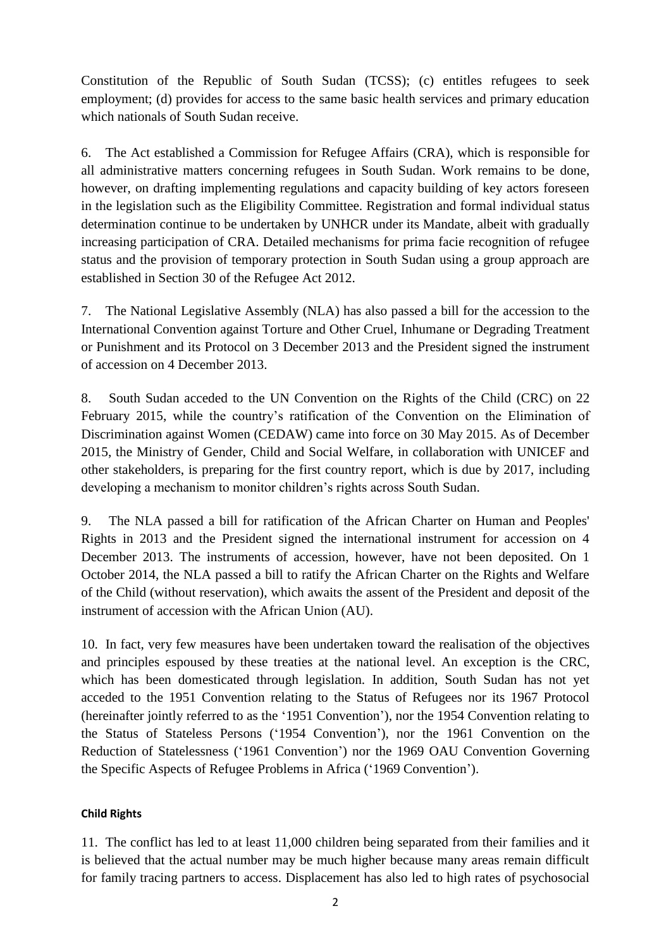Constitution of the Republic of South Sudan (TCSS); (c) entitles refugees to seek employment; (d) provides for access to the same basic health services and primary education which nationals of South Sudan receive.

6. The Act established a Commission for Refugee Affairs (CRA), which is responsible for all administrative matters concerning refugees in South Sudan. Work remains to be done, however, on drafting implementing regulations and capacity building of key actors foreseen in the legislation such as the Eligibility Committee. Registration and formal individual status determination continue to be undertaken by UNHCR under its Mandate, albeit with gradually increasing participation of CRA. Detailed mechanisms for prima facie recognition of refugee status and the provision of temporary protection in South Sudan using a group approach are established in Section 30 of the Refugee Act 2012.

7. The National Legislative Assembly (NLA) has also passed a bill for the accession to the International Convention against Torture and Other Cruel, Inhumane or Degrading Treatment or Punishment and its Protocol on 3 December 2013 and the President signed the instrument of accession on 4 December 2013.

8. South Sudan acceded to the UN Convention on the Rights of the Child (CRC) on 22 February 2015, while the country's ratification of the Convention on the Elimination of Discrimination against Women (CEDAW) came into force on 30 May 2015. As of December 2015, the Ministry of Gender, Child and Social Welfare, in collaboration with UNICEF and other stakeholders, is preparing for the first country report, which is due by 2017, including developing a mechanism to monitor children's rights across South Sudan.

9. The NLA passed a bill for ratification of the African Charter on Human and Peoples' Rights in 2013 and the President signed the international instrument for accession on 4 December 2013. The instruments of accession, however, have not been deposited. On 1 October 2014, the NLA passed a bill to ratify the African Charter on the Rights and Welfare of the Child (without reservation), which awaits the assent of the President and deposit of the instrument of accession with the African Union (AU).

10. In fact, very few measures have been undertaken toward the realisation of the objectives and principles espoused by these treaties at the national level. An exception is the CRC, which has been domesticated through legislation. In addition, South Sudan has not yet acceded to the 1951 Convention relating to the Status of Refugees nor its 1967 Protocol (hereinafter jointly referred to as the '1951 Convention'), nor the 1954 Convention relating to the Status of Stateless Persons ('1954 Convention'), nor the 1961 Convention on the Reduction of Statelessness ('1961 Convention') nor the 1969 OAU Convention Governing the Specific Aspects of Refugee Problems in Africa ('1969 Convention').

# **Child Rights**

11. The conflict has led to at least 11,000 children being separated from their families and it is believed that the actual number may be much higher because many areas remain difficult for family tracing partners to access. Displacement has also led to high rates of psychosocial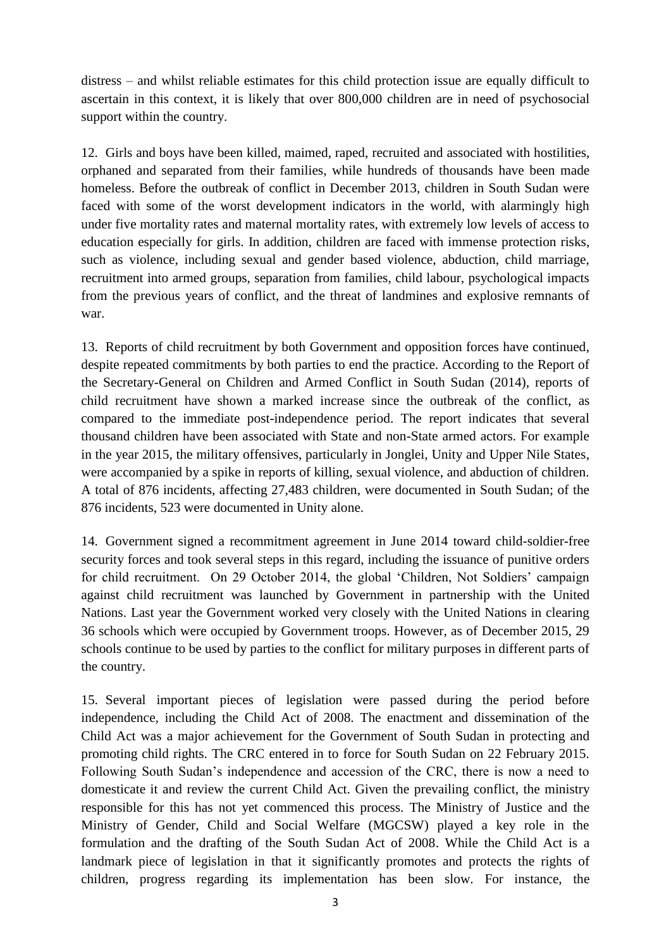distress – and whilst reliable estimates for this child protection issue are equally difficult to ascertain in this context, it is likely that over 800,000 children are in need of psychosocial support within the country.

12. Girls and boys have been killed, maimed, raped, recruited and associated with hostilities, orphaned and separated from their families, while hundreds of thousands have been made homeless. Before the outbreak of conflict in December 2013, children in South Sudan were faced with some of the worst development indicators in the world, with alarmingly high under five mortality rates and maternal mortality rates, with extremely low levels of access to education especially for girls. In addition, children are faced with immense protection risks, such as violence, including sexual and gender based violence, abduction, child marriage, recruitment into armed groups, separation from families, child labour, psychological impacts from the previous years of conflict, and the threat of landmines and explosive remnants of war.

13. Reports of child recruitment by both Government and opposition forces have continued, despite repeated commitments by both parties to end the practice. According to the Report of the Secretary-General on Children and Armed Conflict in South Sudan (2014), reports of child recruitment have shown a marked increase since the outbreak of the conflict, as compared to the immediate post-independence period. The report indicates that several thousand children have been associated with State and non-State armed actors. For example in the year 2015, the military offensives, particularly in Jonglei, Unity and Upper Nile States, were accompanied by a spike in reports of killing, sexual violence, and abduction of children. A total of 876 incidents, affecting 27,483 children, were documented in South Sudan; of the 876 incidents, 523 were documented in Unity alone.

14. Government signed a recommitment agreement in June 2014 toward child-soldier-free security forces and took several steps in this regard, including the issuance of punitive orders for child recruitment. On 29 October 2014, the global 'Children, Not Soldiers' campaign against child recruitment was launched by Government in partnership with the United Nations. Last year the Government worked very closely with the United Nations in clearing 36 schools which were occupied by Government troops. However, as of December 2015, 29 schools continue to be used by parties to the conflict for military purposes in different parts of the country.

15. Several important pieces of legislation were passed during the period before independence, including the Child Act of 2008. The enactment and dissemination of the Child Act was a major achievement for the Government of South Sudan in protecting and promoting child rights. The CRC entered in to force for South Sudan on 22 February 2015. Following South Sudan's independence and accession of the CRC, there is now a need to domesticate it and review the current Child Act. Given the prevailing conflict, the ministry responsible for this has not yet commenced this process. The Ministry of Justice and the Ministry of Gender, Child and Social Welfare (MGCSW) played a key role in the formulation and the drafting of the South Sudan Act of 2008. While the Child Act is a landmark piece of legislation in that it significantly promotes and protects the rights of children, progress regarding its implementation has been slow. For instance, the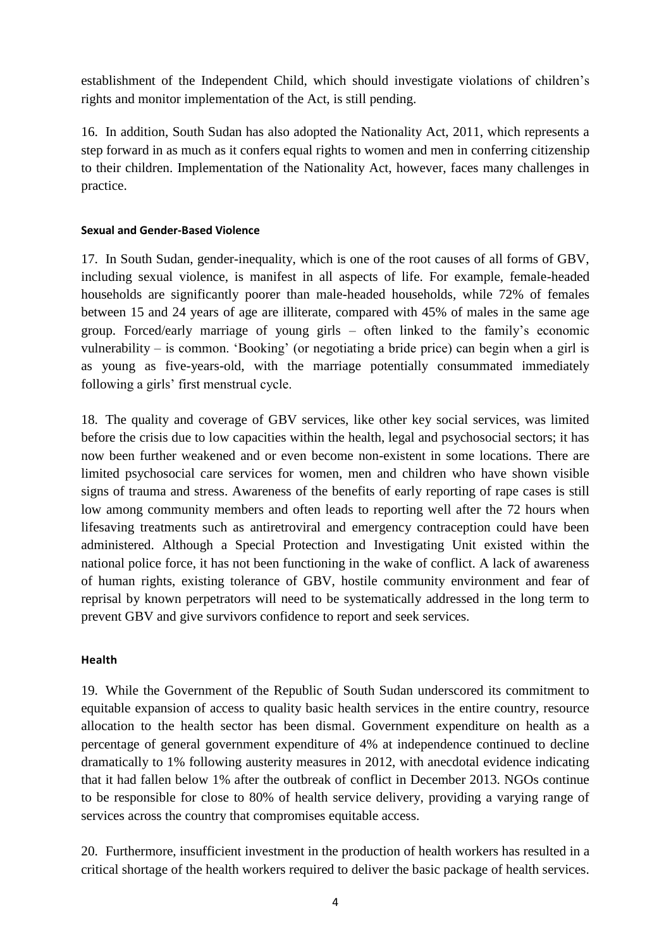establishment of the Independent Child, which should investigate violations of children's rights and monitor implementation of the Act, is still pending.

16. In addition, South Sudan has also adopted the Nationality Act, 2011, which represents a step forward in as much as it confers equal rights to women and men in conferring citizenship to their children. Implementation of the Nationality Act, however, faces many challenges in practice.

# **Sexual and Gender-Based Violence**

17. In South Sudan, gender-inequality, which is one of the root causes of all forms of GBV, including sexual violence, is manifest in all aspects of life. For example, female-headed households are significantly poorer than male-headed households, while 72% of females between 15 and 24 years of age are illiterate, compared with 45% of males in the same age group. Forced/early marriage of young girls – often linked to the family's economic vulnerability – is common. 'Booking' (or negotiating a bride price) can begin when a girl is as young as five-years-old, with the marriage potentially consummated immediately following a girls' first menstrual cycle.

18. The quality and coverage of GBV services, like other key social services, was limited before the crisis due to low capacities within the health, legal and psychosocial sectors; it has now been further weakened and or even become non-existent in some locations. There are limited psychosocial care services for women, men and children who have shown visible signs of trauma and stress. Awareness of the benefits of early reporting of rape cases is still low among community members and often leads to reporting well after the 72 hours when lifesaving treatments such as antiretroviral and emergency contraception could have been administered. Although a Special Protection and Investigating Unit existed within the national police force, it has not been functioning in the wake of conflict. A lack of awareness of human rights, existing tolerance of GBV, hostile community environment and fear of reprisal by known perpetrators will need to be systematically addressed in the long term to prevent GBV and give survivors confidence to report and seek services.

### **Health**

19. While the Government of the Republic of South Sudan underscored its commitment to equitable expansion of access to quality basic health services in the entire country, resource allocation to the health sector has been dismal. Government expenditure on health as a percentage of general government expenditure of 4% at independence continued to decline dramatically to 1% following austerity measures in 2012, with anecdotal evidence indicating that it had fallen below 1% after the outbreak of conflict in December 2013. NGOs continue to be responsible for close to 80% of health service delivery, providing a varying range of services across the country that compromises equitable access.

20. Furthermore, insufficient investment in the production of health workers has resulted in a critical shortage of the health workers required to deliver the basic package of health services.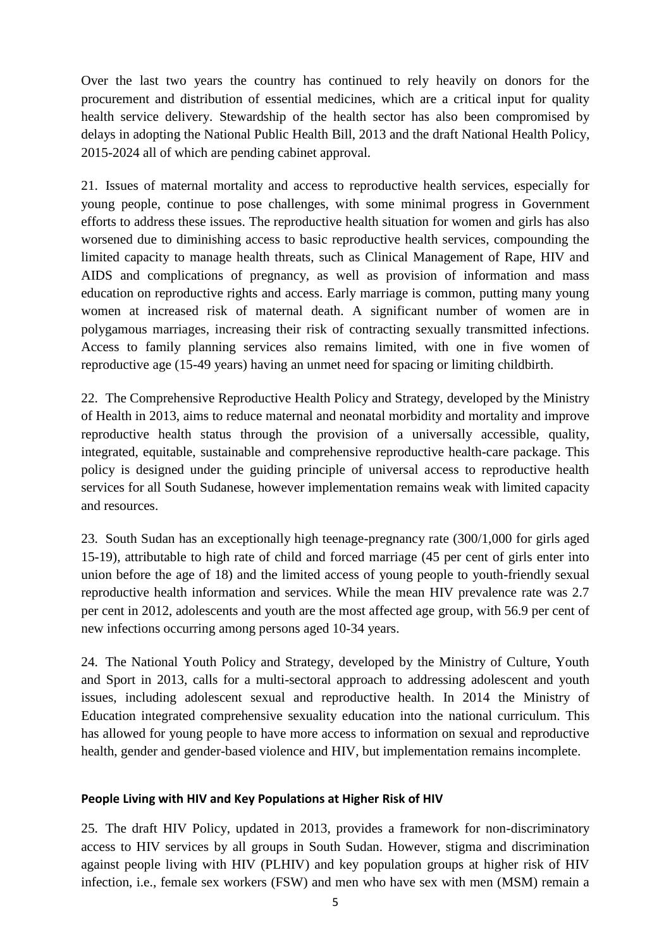Over the last two years the country has continued to rely heavily on donors for the procurement and distribution of essential medicines, which are a critical input for quality health service delivery. Stewardship of the health sector has also been compromised by delays in adopting the National Public Health Bill, 2013 and the draft National Health Policy, 2015-2024 all of which are pending cabinet approval.

21. Issues of maternal mortality and access to reproductive health services, especially for young people, continue to pose challenges, with some minimal progress in Government efforts to address these issues. The reproductive health situation for women and girls has also worsened due to diminishing access to basic reproductive health services, compounding the limited capacity to manage health threats, such as Clinical Management of Rape, HIV and AIDS and complications of pregnancy, as well as provision of information and mass education on reproductive rights and access. Early marriage is common, putting many young women at increased risk of maternal death. A significant number of women are in polygamous marriages, increasing their risk of contracting sexually transmitted infections. Access to family planning services also remains limited, with one in five women of reproductive age (15-49 years) having an unmet need for spacing or limiting childbirth.

22. The Comprehensive Reproductive Health Policy and Strategy, developed by the Ministry of Health in 2013, aims to reduce maternal and neonatal morbidity and mortality and improve reproductive health status through the provision of a universally accessible, quality, integrated, equitable, sustainable and comprehensive reproductive health-care package. This policy is designed under the guiding principle of universal access to reproductive health services for all South Sudanese, however implementation remains weak with limited capacity and resources.

23. South Sudan has an exceptionally high teenage-pregnancy rate (300/1,000 for girls aged 15-19), attributable to high rate of child and forced marriage (45 per cent of girls enter into union before the age of 18) and the limited access of young people to youth-friendly sexual reproductive health information and services. While the mean HIV prevalence rate was 2.7 per cent in 2012, adolescents and youth are the most affected age group, with 56.9 per cent of new infections occurring among persons aged 10-34 years.

24. The National Youth Policy and Strategy, developed by the Ministry of Culture, Youth and Sport in 2013, calls for a multi-sectoral approach to addressing adolescent and youth issues, including adolescent sexual and reproductive health. In 2014 the Ministry of Education integrated comprehensive sexuality education into the national curriculum. This has allowed for young people to have more access to information on sexual and reproductive health, gender and gender-based violence and HIV, but implementation remains incomplete.

# **People Living with HIV and Key Populations at Higher Risk of HIV**

25. The draft HIV Policy, updated in 2013, provides a framework for non-discriminatory access to HIV services by all groups in South Sudan. However, stigma and discrimination against people living with HIV (PLHIV) and key population groups at higher risk of HIV infection, i.e., female sex workers (FSW) and men who have sex with men (MSM) remain a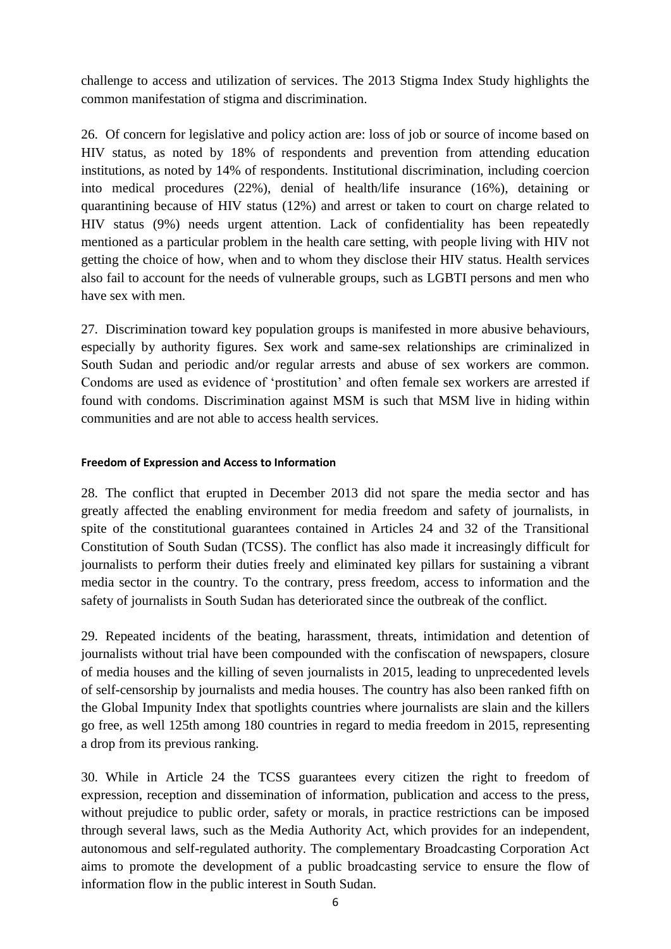challenge to access and utilization of services. The 2013 Stigma Index Study highlights the common manifestation of stigma and discrimination.

26. Of concern for legislative and policy action are: loss of job or source of income based on HIV status, as noted by 18% of respondents and prevention from attending education institutions, as noted by 14% of respondents. Institutional discrimination, including coercion into medical procedures (22%), denial of health/life insurance (16%), detaining or quarantining because of HIV status (12%) and arrest or taken to court on charge related to HIV status (9%) needs urgent attention. Lack of confidentiality has been repeatedly mentioned as a particular problem in the health care setting, with people living with HIV not getting the choice of how, when and to whom they disclose their HIV status. Health services also fail to account for the needs of vulnerable groups, such as LGBTI persons and men who have sex with men.

27. Discrimination toward key population groups is manifested in more abusive behaviours, especially by authority figures. Sex work and same-sex relationships are criminalized in South Sudan and periodic and/or regular arrests and abuse of sex workers are common. Condoms are used as evidence of 'prostitution' and often female sex workers are arrested if found with condoms. Discrimination against MSM is such that MSM live in hiding within communities and are not able to access health services.

## **Freedom of Expression and Access to Information**

28. The conflict that erupted in December 2013 did not spare the media sector and has greatly affected the enabling environment for media freedom and safety of journalists, in spite of the constitutional guarantees contained in Articles 24 and 32 of the Transitional Constitution of South Sudan (TCSS). The conflict has also made it increasingly difficult for journalists to perform their duties freely and eliminated key pillars for sustaining a vibrant media sector in the country. To the contrary, press freedom, access to information and the safety of journalists in South Sudan has deteriorated since the outbreak of the conflict.

29. Repeated incidents of the beating, harassment, threats, intimidation and detention of journalists without trial have been compounded with the confiscation of newspapers, closure of media houses and the killing of seven journalists in 2015, leading to unprecedented levels of self-censorship by journalists and media houses. The country has also been ranked fifth on the Global Impunity Index that spotlights countries where journalists are slain and the killers go free, as well 125th among 180 countries in regard to media freedom in 2015, representing a drop from its previous ranking.

30. While in Article 24 the TCSS guarantees every citizen the right to freedom of expression, reception and dissemination of information, publication and access to the press, without prejudice to public order, safety or morals, in practice restrictions can be imposed through several laws, such as the Media Authority Act, which provides for an independent, autonomous and self-regulated authority. The complementary Broadcasting Corporation Act aims to promote the development of a public broadcasting service to ensure the flow of information flow in the public interest in South Sudan.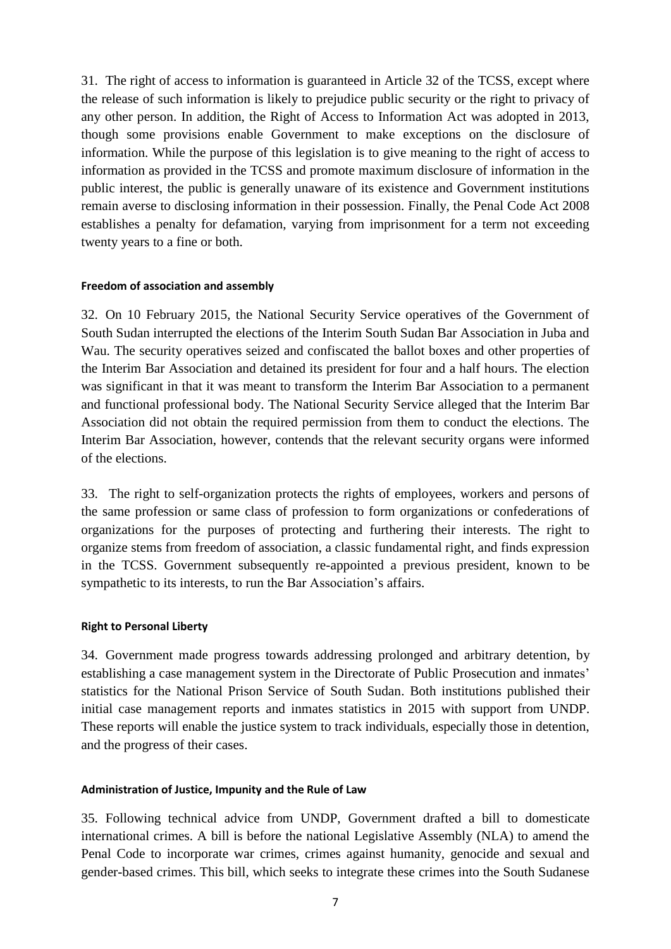31. The right of access to information is guaranteed in Article 32 of the TCSS, except where the release of such information is likely to prejudice public security or the right to privacy of any other person. In addition, the Right of Access to Information Act was adopted in 2013, though some provisions enable Government to make exceptions on the disclosure of information. While the purpose of this legislation is to give meaning to the right of access to information as provided in the TCSS and promote maximum disclosure of information in the public interest, the public is generally unaware of its existence and Government institutions remain averse to disclosing information in their possession. Finally, the Penal Code Act 2008 establishes a penalty for defamation, varying from imprisonment for a term not exceeding twenty years to a fine or both.

#### **Freedom of association and assembly**

32. On 10 February 2015, the National Security Service operatives of the Government of South Sudan interrupted the elections of the Interim South Sudan Bar Association in Juba and Wau. The security operatives seized and confiscated the ballot boxes and other properties of the Interim Bar Association and detained its president for four and a half hours. The election was significant in that it was meant to transform the Interim Bar Association to a permanent and functional professional body. The National Security Service alleged that the Interim Bar Association did not obtain the required permission from them to conduct the elections. The Interim Bar Association, however, contends that the relevant security organs were informed of the elections.

33. The right to self-organization protects the rights of employees, workers and persons of the same profession or same class of profession to form organizations or confederations of organizations for the purposes of protecting and furthering their interests. The right to organize stems from freedom of association, a classic fundamental right, and finds expression in the TCSS. Government subsequently re-appointed a previous president, known to be sympathetic to its interests, to run the Bar Association's affairs.

#### **Right to Personal Liberty**

34. Government made progress towards addressing prolonged and arbitrary detention, by establishing a case management system in the Directorate of Public Prosecution and inmates' statistics for the National Prison Service of South Sudan. Both institutions published their initial case management reports and inmates statistics in 2015 with support from UNDP. These reports will enable the justice system to track individuals, especially those in detention, and the progress of their cases.

### **Administration of Justice, Impunity and the Rule of Law**

35. Following technical advice from UNDP, Government drafted a bill to domesticate international crimes. A bill is before the national Legislative Assembly (NLA) to amend the Penal Code to incorporate war crimes, crimes against humanity, genocide and sexual and gender-based crimes. This bill, which seeks to integrate these crimes into the South Sudanese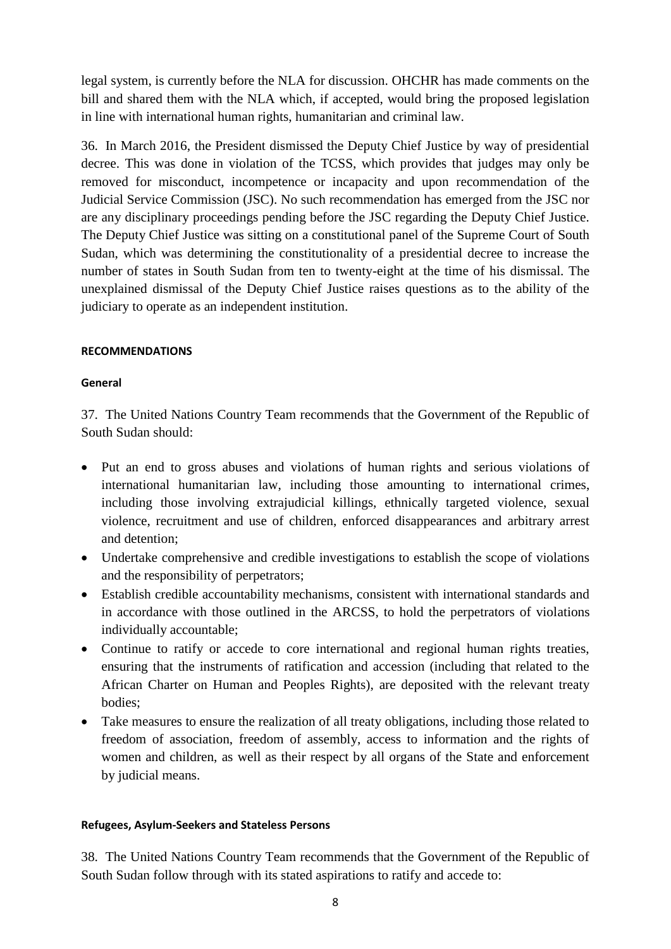legal system, is currently before the NLA for discussion. OHCHR has made comments on the bill and shared them with the NLA which, if accepted, would bring the proposed legislation in line with international human rights, humanitarian and criminal law.

36. In March 2016, the President dismissed the Deputy Chief Justice by way of presidential decree. This was done in violation of the TCSS, which provides that judges may only be removed for misconduct, incompetence or incapacity and upon recommendation of the Judicial Service Commission (JSC). No such recommendation has emerged from the JSC nor are any disciplinary proceedings pending before the JSC regarding the Deputy Chief Justice. The Deputy Chief Justice was sitting on a constitutional panel of the Supreme Court of South Sudan, which was determining the constitutionality of a presidential decree to increase the number of states in South Sudan from ten to twenty-eight at the time of his dismissal. The unexplained dismissal of the Deputy Chief Justice raises questions as to the ability of the judiciary to operate as an independent institution.

### **RECOMMENDATIONS**

## **General**

37. The United Nations Country Team recommends that the Government of the Republic of South Sudan should:

- Put an end to gross abuses and violations of human rights and serious violations of international humanitarian law, including those amounting to international crimes, including those involving extrajudicial killings, ethnically targeted violence, sexual violence, recruitment and use of children, enforced disappearances and arbitrary arrest and detention;
- Undertake comprehensive and credible investigations to establish the scope of violations and the responsibility of perpetrators;
- Establish credible accountability mechanisms, consistent with international standards and in accordance with those outlined in the ARCSS, to hold the perpetrators of violations individually accountable;
- Continue to ratify or accede to core international and regional human rights treaties, ensuring that the instruments of ratification and accession (including that related to the African Charter on Human and Peoples Rights), are deposited with the relevant treaty bodies;
- Take measures to ensure the realization of all treaty obligations, including those related to freedom of association, freedom of assembly, access to information and the rights of women and children, as well as their respect by all organs of the State and enforcement by judicial means.

### **Refugees, Asylum-Seekers and Stateless Persons**

38. The United Nations Country Team recommends that the Government of the Republic of South Sudan follow through with its stated aspirations to ratify and accede to: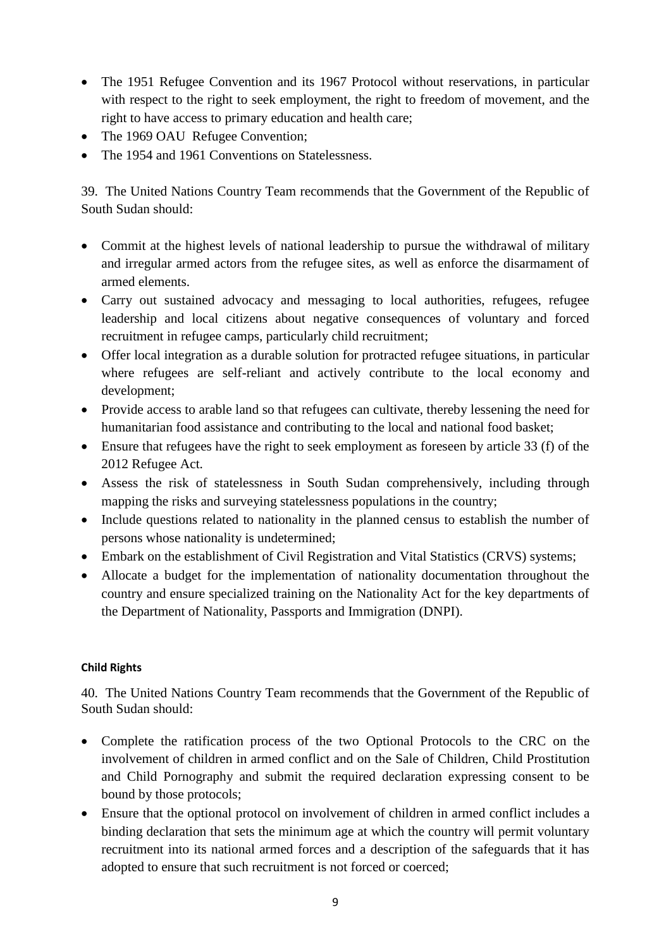- The 1951 Refugee Convention and its 1967 Protocol without reservations, in particular with respect to the right to seek employment, the right to freedom of movement, and the right to have access to primary education and health care;
- The 1969 OAU Refugee Convention;
- The 1954 and 1961 Conventions on Statelessness.

39. The United Nations Country Team recommends that the Government of the Republic of South Sudan should:

- Commit at the highest levels of national leadership to pursue the withdrawal of military and irregular armed actors from the refugee sites, as well as enforce the disarmament of armed elements.
- Carry out sustained advocacy and messaging to local authorities, refugees, refugee leadership and local citizens about negative consequences of voluntary and forced recruitment in refugee camps, particularly child recruitment;
- Offer local integration as a durable solution for protracted refugee situations, in particular where refugees are self-reliant and actively contribute to the local economy and development;
- Provide access to arable land so that refugees can cultivate, thereby lessening the need for humanitarian food assistance and contributing to the local and national food basket;
- Ensure that refugees have the right to seek employment as foreseen by article 33 (f) of the 2012 Refugee Act.
- Assess the risk of statelessness in South Sudan comprehensively, including through mapping the risks and surveying statelessness populations in the country;
- Include questions related to nationality in the planned census to establish the number of persons whose nationality is undetermined;
- Embark on the establishment of Civil Registration and Vital Statistics (CRVS) systems;
- Allocate a budget for the implementation of nationality documentation throughout the country and ensure specialized training on the Nationality Act for the key departments of the Department of Nationality, Passports and Immigration (DNPI).

# **Child Rights**

40. The United Nations Country Team recommends that the Government of the Republic of South Sudan should:

- Complete the ratification process of the two Optional Protocols to the CRC on the involvement of children in armed conflict and on the Sale of Children, Child Prostitution and Child Pornography and submit the required declaration expressing consent to be bound by those protocols;
- Ensure that the optional protocol on involvement of children in armed conflict includes a binding declaration that sets the minimum age at which the country will permit voluntary recruitment into its national armed forces and a description of the safeguards that it has adopted to ensure that such recruitment is not forced or coerced;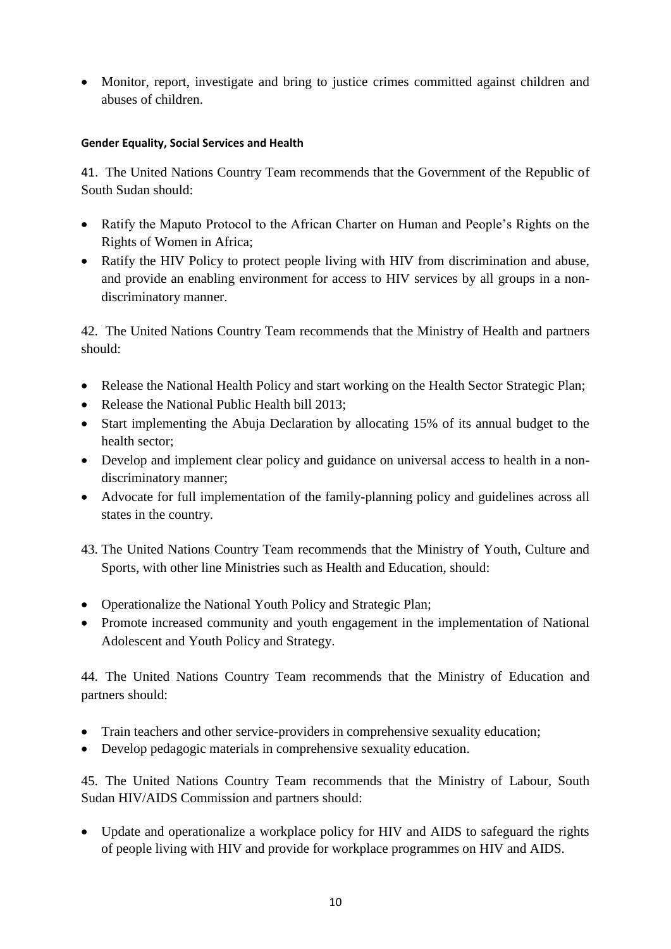Monitor, report, investigate and bring to justice crimes committed against children and abuses of children.

# **Gender Equality, Social Services and Health**

41. The United Nations Country Team recommends that the Government of the Republic of South Sudan should:

- Ratify the Maputo Protocol to the African Charter on Human and People's Rights on the Rights of Women in Africa;
- Ratify the HIV Policy to protect people living with HIV from discrimination and abuse, and provide an enabling environment for access to HIV services by all groups in a nondiscriminatory manner.

42. The United Nations Country Team recommends that the Ministry of Health and partners should:

- Release the National Health Policy and start working on the Health Sector Strategic Plan;
- Release the National Public Health bill 2013;
- Start implementing the Abuja Declaration by allocating 15% of its annual budget to the health sector;
- Develop and implement clear policy and guidance on universal access to health in a nondiscriminatory manner;
- Advocate for full implementation of the family-planning policy and guidelines across all states in the country.
- 43. The United Nations Country Team recommends that the Ministry of Youth, Culture and Sports, with other line Ministries such as Health and Education, should:
- Operationalize the National Youth Policy and Strategic Plan;
- Promote increased community and youth engagement in the implementation of National Adolescent and Youth Policy and Strategy.

44. The United Nations Country Team recommends that the Ministry of Education and partners should:

- Train teachers and other service-providers in comprehensive sexuality education;
- Develop pedagogic materials in comprehensive sexuality education.

45. The United Nations Country Team recommends that the Ministry of Labour, South Sudan HIV/AIDS Commission and partners should:

 Update and operationalize a workplace policy for HIV and AIDS to safeguard the rights of people living with HIV and provide for workplace programmes on HIV and AIDS.